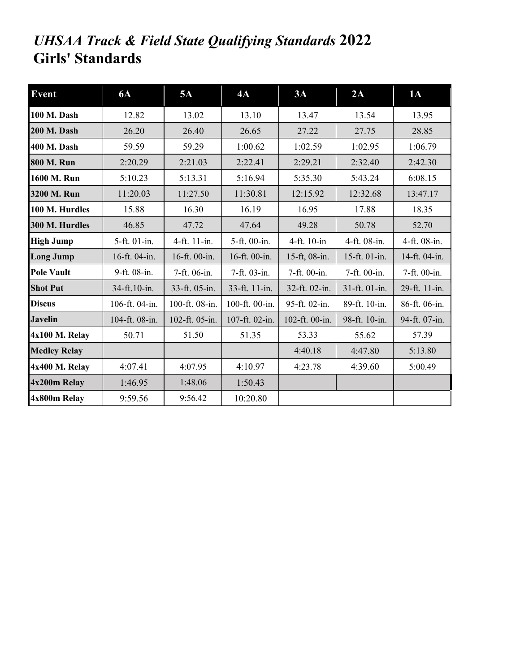## *UHSAA Track & Field State Qualifying Standards* **2022 Girls' Standards**

| <b>Event</b>        | <b>6A</b>      | 5A             | 4A             | 3A             | 2A            | 1A            |
|---------------------|----------------|----------------|----------------|----------------|---------------|---------------|
| 100 M. Dash         | 12.82          | 13.02          | 13.10          | 13.47          | 13.54         | 13.95         |
| <b>200 M. Dash</b>  | 26.20          | 26.40          | 26.65          | 27.22          | 27.75         | 28.85         |
| <b>400 M. Dash</b>  | 59.59          | 59.29          | 1:00.62        | 1:02.59        | 1:02.95       | 1:06.79       |
| <b>800 M. Run</b>   | 2:20.29        | 2:21.03        | 2:22.41        | 2:29.21        | 2:32.40       | 2:42.30       |
| 1600 M. Run         | 5:10.23        | 5:13.31        | 5:16.94        | 5:35.30        | 5:43.24       | 6:08.15       |
| 3200 M. Run         | 11:20.03       | 11:27.50       | 11:30.81       | 12:15.92       | 12:32.68      | 13:47.17      |
| 100 M. Hurdles      | 15.88          | 16.30          | 16.19          | 16.95          | 17.88         | 18.35         |
| 300 M. Hurdles      | 46.85          | 47.72          | 47.64          | 49.28          | 50.78         | 52.70         |
| <b>High Jump</b>    | 5-ft. 01-in.   | 4-ft. 11-in.   | 5-ft. 00-in.   | 4-ft. 10-in    | 4-ft. 08-in.  | 4-ft. 08-in.  |
| <b>Long Jump</b>    | 16-ft. 04-in.  | 16-ft. 00-in.  | 16-ft. 00-in.  | 15-ft, 08-in.  | 15-ft. 01-in. | 14-ft. 04-in. |
| <b>Pole Vault</b>   | 9-ft. 08-in.   | 7-ft. 06-in.   | 7-ft. 03-in.   | 7-ft. 00-in.   | 7-ft. 00-in.  | 7-ft. 00-in.  |
| <b>Shot Put</b>     | 34-ft.10-in.   | 33-ft. 05-in.  | 33-ft. 11-in.  | 32-ft. 02-in.  | 31-ft. 01-in. | 29-ft. 11-in. |
| <b>Discus</b>       | 106-ft. 04-in. | 100-ft. 08-in. | 100-ft. 00-in. | 95-ft. 02-in.  | 89-ft. 10-in. | 86-ft. 06-in. |
| <b>Javelin</b>      | 104-ft. 08-in. | 102-ft. 05-in. | 107-ft. 02-in. | 102-ft. 00-in. | 98-ft. 10-in. | 94-ft. 07-in. |
| 4x100 M. Relay      | 50.71          | 51.50          | 51.35          | 53.33          | 55.62         | 57.39         |
| <b>Medley Relay</b> |                |                |                | 4:40.18        | 4:47.80       | 5:13.80       |
| 4x400 M. Relay      | 4:07.41        | 4:07.95        | 4:10.97        | 4:23.78        | 4:39.60       | 5:00.49       |
| 4x200m Relay        | 1:46.95        | 1:48.06        | 1:50.43        |                |               |               |
| 4x800m Relay        | 9:59.56        | 9:56.42        | 10:20.80       |                |               |               |